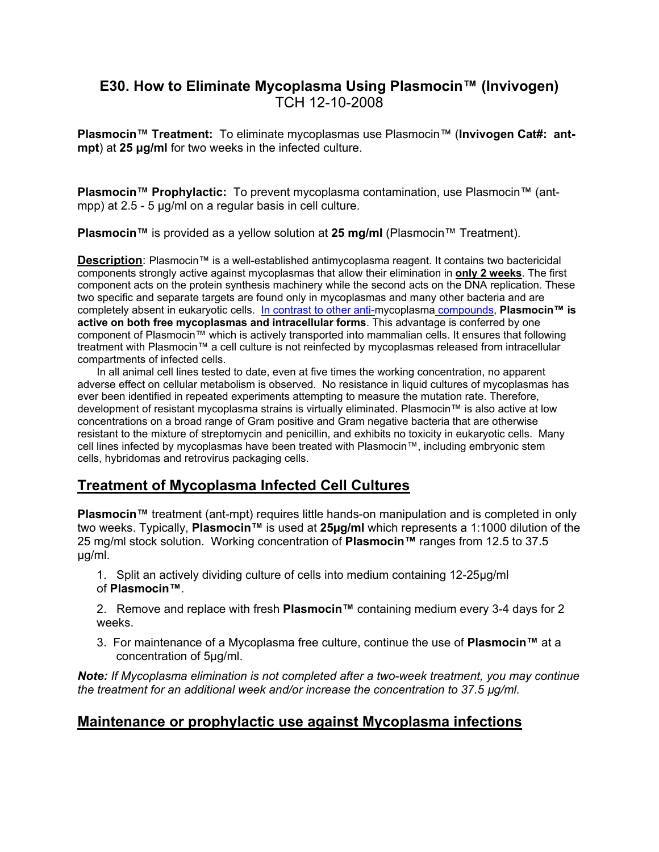## **E30. How to Eliminate Mycoplasma Using Plasmocin™ (Invivogen)** TCH 12-10-2008

**Plasmocin™ Treatment:** To eliminate mycoplasmas use Plasmocin™ (**Invivogen Cat#: antmpt**) at **25 μg/ml** for two weeks in the infected culture.

**Plasmocin™ Prophylactic:** To prevent mycoplasma contamination, use Plasmocin™ (antmpp) at 2.5 - 5 μg/ml on a regular basis in cell culture.

**Plasmocin™** is provided as a yellow solution at **25 mg/ml** (Plasmocin™ Treatment).

**Description**: Plasmocin™ is a well-established antimycoplasma reagent. It contains two bactericidal components strongly active against mycoplasmas that allow their elimination in **only 2 weeks**. The first component acts on the protein synthesis machinery while the second acts on the DNA replication. These two specific and separate targets are found only in mycoplasmas and many other bacteria and are completely absent in eukaryotic cells. In contrast to other anti-mycoplasma compounds, **Plasmocin™ is active on both free mycoplasmas and intracellular forms**. This advantage is conferred by one component of Plasmocin™ which is actively transported into mammalian cells. It ensures that following treatment with Plasmocin™ a cell culture is not reinfected by mycoplasmas released from intracellular compartments of infected cells.

In all animal cell lines tested to date, even at five times the working concentration, no apparent adverse effect on cellular metabolism is observed. No resistance in liquid cultures of mycoplasmas has ever been identified in repeated experiments attempting to measure the mutation rate. Therefore, development of resistant mycoplasma strains is virtually eliminated. Plasmocin™ is also active at low concentrations on a broad range of Gram positive and Gram negative bacteria that are otherwise resistant to the mixture of streptomycin and penicillin, and exhibits no toxicity in eukaryotic cells. Many cell lines infected by mycoplasmas have been treated with Plasmocin™, including embryonic stem cells, hybridomas and retrovirus packaging cells.

## **Treatment of Mycoplasma Infected Cell Cultures**

**Plasmocin™** treatment (ant-mpt) requires little hands-on manipulation and is completed in only two weeks. Typically, **Plasmocin™** is used at **25µg/ml** which represents a 1:1000 dilution of the 25 mg/ml stock solution. Working concentration of **Plasmocin™** ranges from 12.5 to 37.5 µg/ml.

1. Split an actively dividing culture of cells into medium containing 12-25µg/ml of **Plasmocin™**.

2. Remove and replace with fresh **Plasmocin™** containing medium every 3-4 days for 2 weeks.

3. For maintenance of a Mycoplasma free culture, continue the use of **Plasmocin™** at a concentration of 5µg/ml.

*Note: If Mycoplasma elimination is not completed after a two-week treatment, you may continue the treatment for an additional week and/or increase the concentration to 37.5 µg/ml.*

## **Maintenance or prophylactic use against Mycoplasma infections**